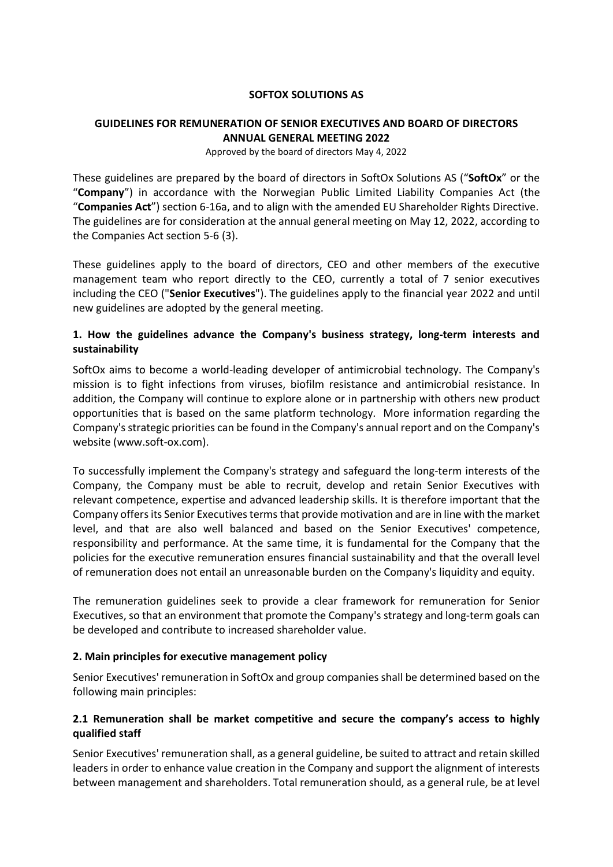### SOFTOX SOLUTIONS AS

# GUIDELINES FOR REMUNERATION OF SENIOR EXECUTIVES AND BOARD OF DIRECTORS ANNUAL GENERAL MEETING 2022

Approved by the board of directors May 4, 2022

These guidelines are prepared by the board of directors in SoftOx Solutions AS ("SoftOx" or the "Company") in accordance with the Norwegian Public Limited Liability Companies Act (the "Companies Act") section 6-16a, and to align with the amended EU Shareholder Rights Directive. The guidelines are for consideration at the annual general meeting on May 12, 2022, according to the Companies Act section 5-6 (3).

These guidelines apply to the board of directors, CEO and other members of the executive management team who report directly to the CEO, currently a total of 7 senior executives including the CEO ("Senior Executives"). The guidelines apply to the financial year 2022 and until new guidelines are adopted by the general meeting.

### 1. How the guidelines advance the Company's business strategy, long-term interests and sustainability

SoftOx aims to become a world-leading developer of antimicrobial technology. The Company's mission is to fight infections from viruses, biofilm resistance and antimicrobial resistance. In addition, the Company will continue to explore alone or in partnership with others new product opportunities that is based on the same platform technology. More information regarding the Company's strategic priorities can be found in the Company's annual report and on the Company's website (www.soft-ox.com).

To successfully implement the Company's strategy and safeguard the long-term interests of the Company, the Company must be able to recruit, develop and retain Senior Executives with relevant competence, expertise and advanced leadership skills. It is therefore important that the Company offers its Senior Executives terms that provide motivation and are in line with the market level, and that are also well balanced and based on the Senior Executives' competence, responsibility and performance. At the same time, it is fundamental for the Company that the policies for the executive remuneration ensures financial sustainability and that the overall level of remuneration does not entail an unreasonable burden on the Company's liquidity and equity.

The remuneration guidelines seek to provide a clear framework for remuneration for Senior Executives, so that an environment that promote the Company's strategy and long-term goals can be developed and contribute to increased shareholder value.

### 2. Main principles for executive management policy

Senior Executives' remuneration in SoftOx and group companies shall be determined based on the following main principles:

### 2.1 Remuneration shall be market competitive and secure the company's access to highly qualified staff

Senior Executives' remuneration shall, as a general guideline, be suited to attract and retain skilled leaders in order to enhance value creation in the Company and support the alignment of interests between management and shareholders. Total remuneration should, as a general rule, be at level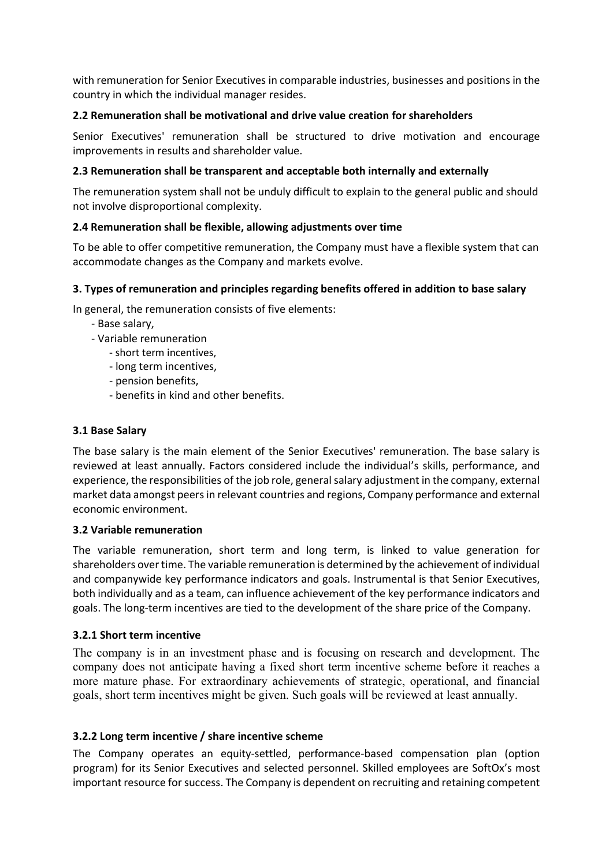with remuneration for Senior Executives in comparable industries, businesses and positions in the country in which the individual manager resides.

### 2.2 Remuneration shall be motivational and drive value creation for shareholders

Senior Executives' remuneration shall be structured to drive motivation and encourage improvements in results and shareholder value.

### 2.3 Remuneration shall be transparent and acceptable both internally and externally

The remuneration system shall not be unduly difficult to explain to the general public and should not involve disproportional complexity.

### 2.4 Remuneration shall be flexible, allowing adjustments over time

To be able to offer competitive remuneration, the Company must have a flexible system that can accommodate changes as the Company and markets evolve.

### 3. Types of remuneration and principles regarding benefits offered in addition to base salary

In general, the remuneration consists of five elements:

- Base salary,
- Variable remuneration
	- short term incentives,
	- long term incentives,
	- pension benefits,
	- benefits in kind and other benefits.

### 3.1 Base Salary

The base salary is the main element of the Senior Executives' remuneration. The base salary is reviewed at least annually. Factors considered include the individual's skills, performance, and experience, the responsibilities of the job role, general salary adjustment in the company, external market data amongst peers in relevant countries and regions, Company performance and external economic environment.

### 3.2 Variable remuneration

The variable remuneration, short term and long term, is linked to value generation for shareholders over time. The variable remuneration is determined by the achievement of individual and companywide key performance indicators and goals. Instrumental is that Senior Executives, both individually and as a team, can influence achievement of the key performance indicators and goals. The long-term incentives are tied to the development of the share price of the Company.

### 3.2.1 Short term incentive

The company is in an investment phase and is focusing on research and development. The company does not anticipate having a fixed short term incentive scheme before it reaches a more mature phase. For extraordinary achievements of strategic, operational, and financial goals, short term incentives might be given. Such goals will be reviewed at least annually.

### 3.2.2 Long term incentive / share incentive scheme

The Company operates an equity-settled, performance-based compensation plan (option program) for its Senior Executives and selected personnel. Skilled employees are SoftOx's most important resource for success. The Company is dependent on recruiting and retaining competent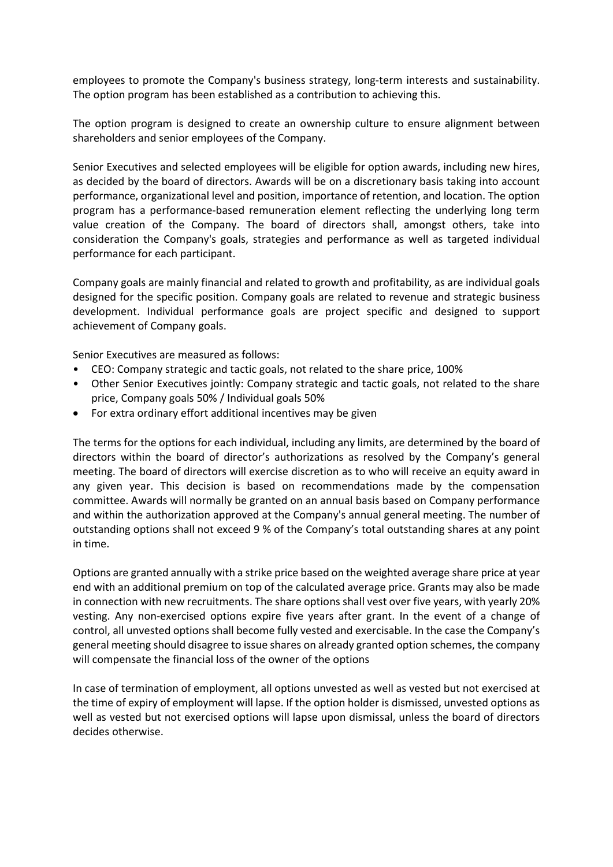employees to promote the Company's business strategy, long-term interests and sustainability. The option program has been established as a contribution to achieving this.

The option program is designed to create an ownership culture to ensure alignment between shareholders and senior employees of the Company.

Senior Executives and selected employees will be eligible for option awards, including new hires, as decided by the board of directors. Awards will be on a discretionary basis taking into account performance, organizational level and position, importance of retention, and location. The option program has a performance-based remuneration element reflecting the underlying long term value creation of the Company. The board of directors shall, amongst others, take into consideration the Company's goals, strategies and performance as well as targeted individual performance for each participant.

Company goals are mainly financial and related to growth and profitability, as are individual goals designed for the specific position. Company goals are related to revenue and strategic business development. Individual performance goals are project specific and designed to support achievement of Company goals.

Senior Executives are measured as follows:

- CEO: Company strategic and tactic goals, not related to the share price, 100%
- Other Senior Executives jointly: Company strategic and tactic goals, not related to the share price, Company goals 50% / Individual goals 50%
- For extra ordinary effort additional incentives may be given

The terms for the options for each individual, including any limits, are determined by the board of directors within the board of director's authorizations as resolved by the Company's general meeting. The board of directors will exercise discretion as to who will receive an equity award in any given year. This decision is based on recommendations made by the compensation committee. Awards will normally be granted on an annual basis based on Company performance and within the authorization approved at the Company's annual general meeting. The number of outstanding options shall not exceed 9 % of the Company's total outstanding shares at any point in time.

Options are granted annually with a strike price based on the weighted average share price at year end with an additional premium on top of the calculated average price. Grants may also be made in connection with new recruitments. The share options shall vest over five years, with yearly 20% vesting. Any non-exercised options expire five years after grant. In the event of a change of control, all unvested options shall become fully vested and exercisable. In the case the Company's general meeting should disagree to issue shares on already granted option schemes, the company will compensate the financial loss of the owner of the options

In case of termination of employment, all options unvested as well as vested but not exercised at the time of expiry of employment will lapse. If the option holder is dismissed, unvested options as well as vested but not exercised options will lapse upon dismissal, unless the board of directors decides otherwise.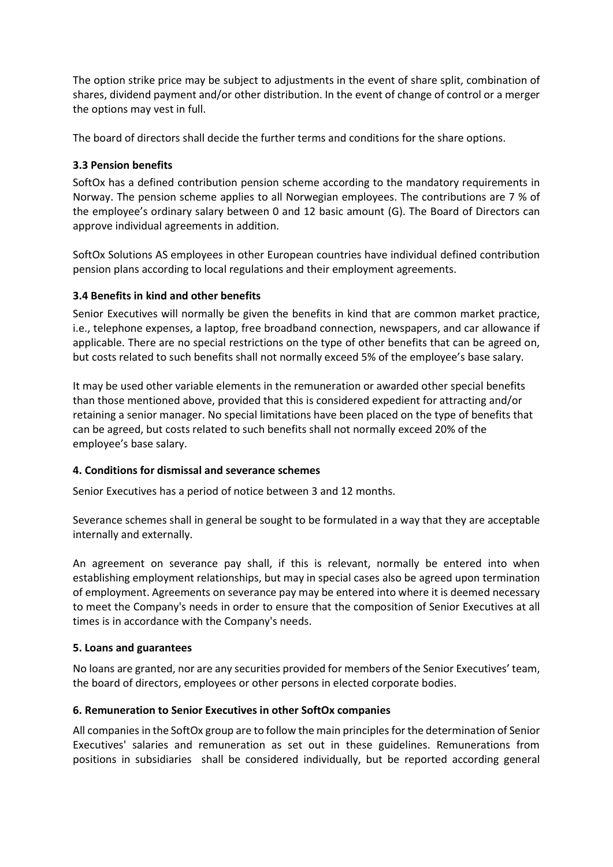The option strike price may be subject to adjustments in the event of share split, combination of shares, dividend payment and/or other distribution. In the event of change of control or a merger the options may vest in full.

The board of directors shall decide the further terms and conditions for the share options.

### 3.3 Pension benefits

SoftOx has a defined contribution pension scheme according to the mandatory requirements in Norway. The pension scheme applies to all Norwegian employees. The contributions are 7 % of the employee's ordinary salary between 0 and 12 basic amount (G). The Board of Directors can approve individual agreements in addition.

SoftOx Solutions AS employees in other European countries have individual defined contribution pension plans according to local regulations and their employment agreements.

### 3.4 Benefits in kind and other benefits

Senior Executives will normally be given the benefits in kind that are common market practice, i.e., telephone expenses, a laptop, free broadband connection, newspapers, and car allowance if applicable. There are no special restrictions on the type of other benefits that can be agreed on, but costs related to such benefits shall not normally exceed 5% of the employee's base salary.

It may be used other variable elements in the remuneration or awarded other special benefits than those mentioned above, provided that this is considered expedient for attracting and/or retaining a senior manager. No special limitations have been placed on the type of benefits that can be agreed, but costs related to such benefits shall not normally exceed 20% of the employee's base salary.

### 4. Conditions for dismissal and severance schemes

Senior Executives has a period of notice between 3 and 12 months.

Severance schemes shall in general be sought to be formulated in a way that they are acceptable internally and externally.

An agreement on severance pay shall, if this is relevant, normally be entered into when establishing employment relationships, but may in special cases also be agreed upon termination of employment. Agreements on severance pay may be entered into where it is deemed necessary to meet the Company's needs in order to ensure that the composition of Senior Executives at all times is in accordance with the Company's needs.

### 5. Loans and guarantees

No loans are granted, nor are any securities provided for members of the Senior Executives' team, the board of directors, employees or other persons in elected corporate bodies.

### 6. Remuneration to Senior Executives in other SoftOx companies

All companies in the SoftOx group are to follow the main principles for the determination of Senior Executives' salaries and remuneration as set out in these guidelines. Remunerations from positions in subsidiaries shall be considered individually, but be reported according general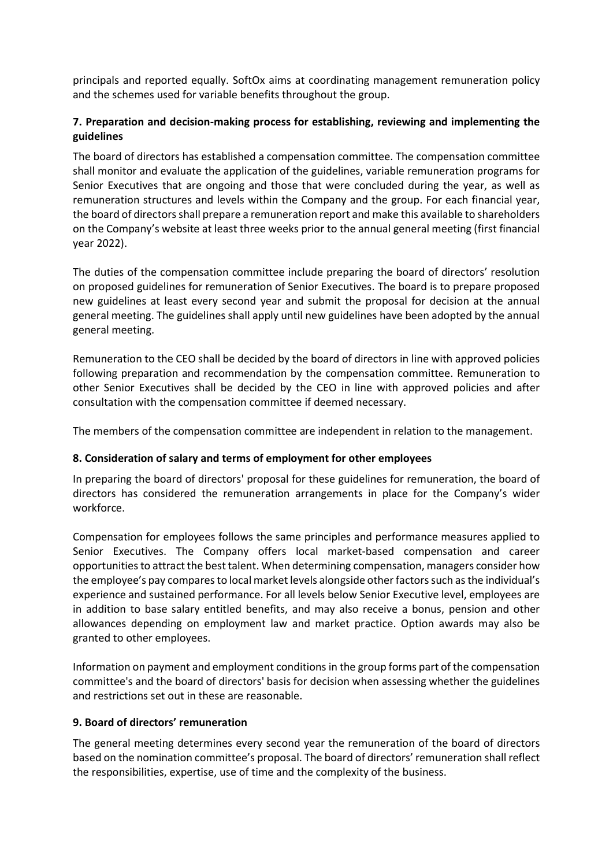principals and reported equally. SoftOx aims at coordinating management remuneration policy and the schemes used for variable benefits throughout the group.

## 7. Preparation and decision-making process for establishing, reviewing and implementing the guidelines

The board of directors has established a compensation committee. The compensation committee shall monitor and evaluate the application of the guidelines, variable remuneration programs for Senior Executives that are ongoing and those that were concluded during the year, as well as remuneration structures and levels within the Company and the group. For each financial year, the board of directors shall prepare a remuneration report and make this available to shareholders on the Company's website at least three weeks prior to the annual general meeting (first financial year 2022).

The duties of the compensation committee include preparing the board of directors' resolution on proposed guidelines for remuneration of Senior Executives. The board is to prepare proposed new guidelines at least every second year and submit the proposal for decision at the annual general meeting. The guidelines shall apply until new guidelines have been adopted by the annual general meeting.

Remuneration to the CEO shall be decided by the board of directors in line with approved policies following preparation and recommendation by the compensation committee. Remuneration to other Senior Executives shall be decided by the CEO in line with approved policies and after consultation with the compensation committee if deemed necessary.

The members of the compensation committee are independent in relation to the management.

### 8. Consideration of salary and terms of employment for other employees

In preparing the board of directors' proposal for these guidelines for remuneration, the board of directors has considered the remuneration arrangements in place for the Company's wider workforce.

Compensation for employees follows the same principles and performance measures applied to Senior Executives. The Company offers local market-based compensation and career opportunities to attract the best talent. When determining compensation, managers consider how the employee's pay compares to local market levels alongside other factors such as the individual's experience and sustained performance. For all levels below Senior Executive level, employees are in addition to base salary entitled benefits, and may also receive a bonus, pension and other allowances depending on employment law and market practice. Option awards may also be granted to other employees.

Information on payment and employment conditions in the group forms part of the compensation committee's and the board of directors' basis for decision when assessing whether the guidelines and restrictions set out in these are reasonable.

### 9. Board of directors' remuneration

The general meeting determines every second year the remuneration of the board of directors based on the nomination committee's proposal. The board of directors' remuneration shall reflect the responsibilities, expertise, use of time and the complexity of the business.